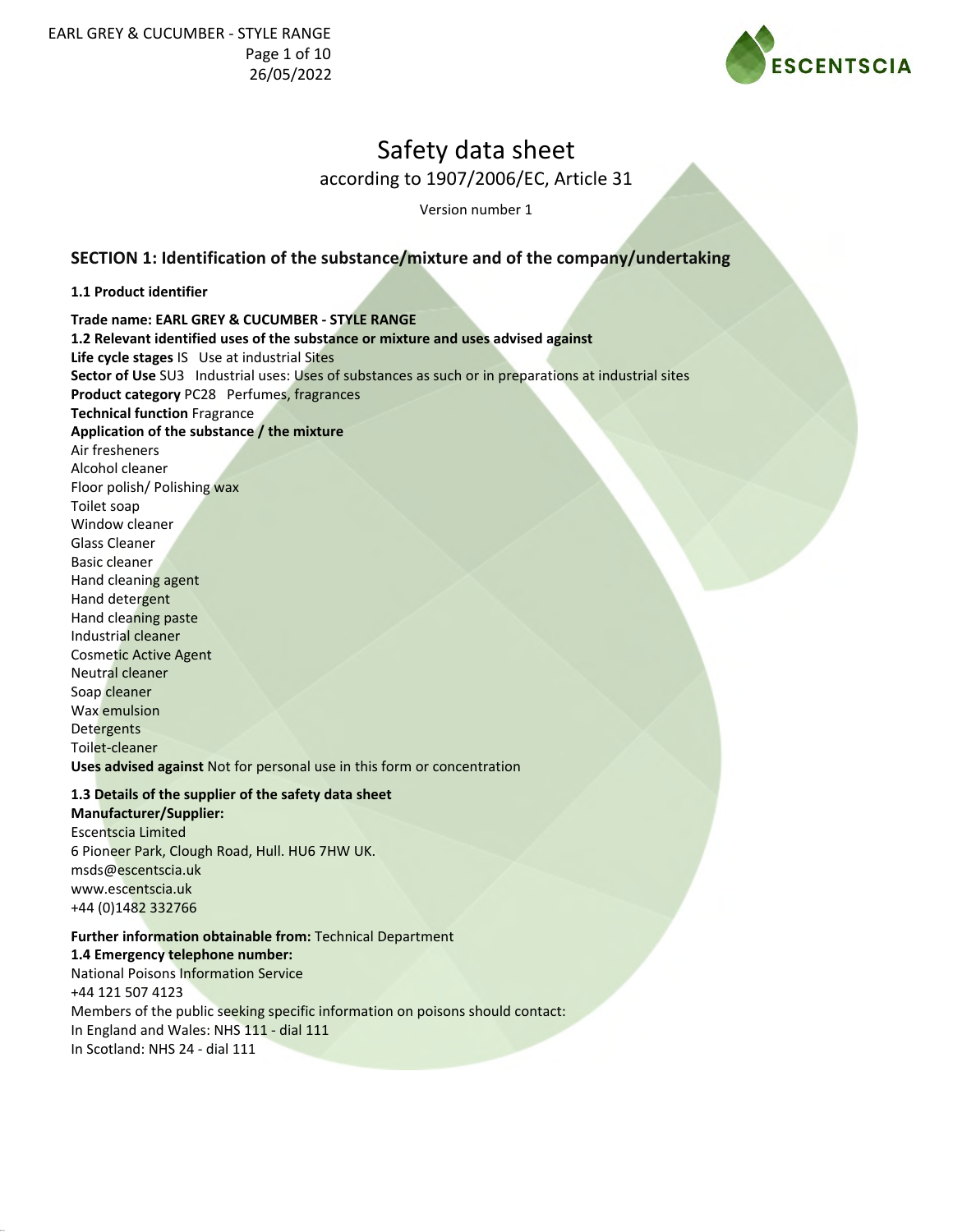

according to 1907/2006/EC, Article 31

Version number 1

### **SECTION 1: Identification of the substance/mixture and of the company/undertaking**

#### **1.1 Product identifier**

**Trade name: EARL GREY & CUCUMBER - STYLE RANGE**

**1.2 Relevant identified uses of the substance or mixture and uses advised against Life cycle stages** IS Use at industrial Sites **Sector of Use** SU3 Industrial uses: Uses of substances as such or in preparations at industrial sites **Product category** PC28 Perfumes, fragrances **Technical function** Fragrance **Application of the substance / the mixture** Air fresheners Alcohol cleaner Floor polish/ Polishing wax Toilet soap Window cleaner Glass Cleaner Basic cleaner Hand cleaning agent Hand detergent Hand cleaning paste Industrial cleaner Cosmetic Active Agent Neutral cleaner Soap cleaner Wax emulsion **Detergents** Toilet-cleaner **Uses advised against** Not for personal use in this form or concentration

#### **1.3 Details of the supplier of the safety data sheet**

**Manufacturer/Supplier:** Escentscia Limited 6 Pioneer Park, Clough Road, Hull. HU6 7HW UK. msds@escentscia.uk www.escentscia.uk +44 (0)1482 332766

**Further information obtainable from:** Technical Department **1.4 Emergency telephone number:** National Poisons Information Service +44 121 507 4123 Members of the public seeking specific information on poisons should contact: In England and Wales: NHS 111 - dial 111 In Scotland: NHS 24 - dial 111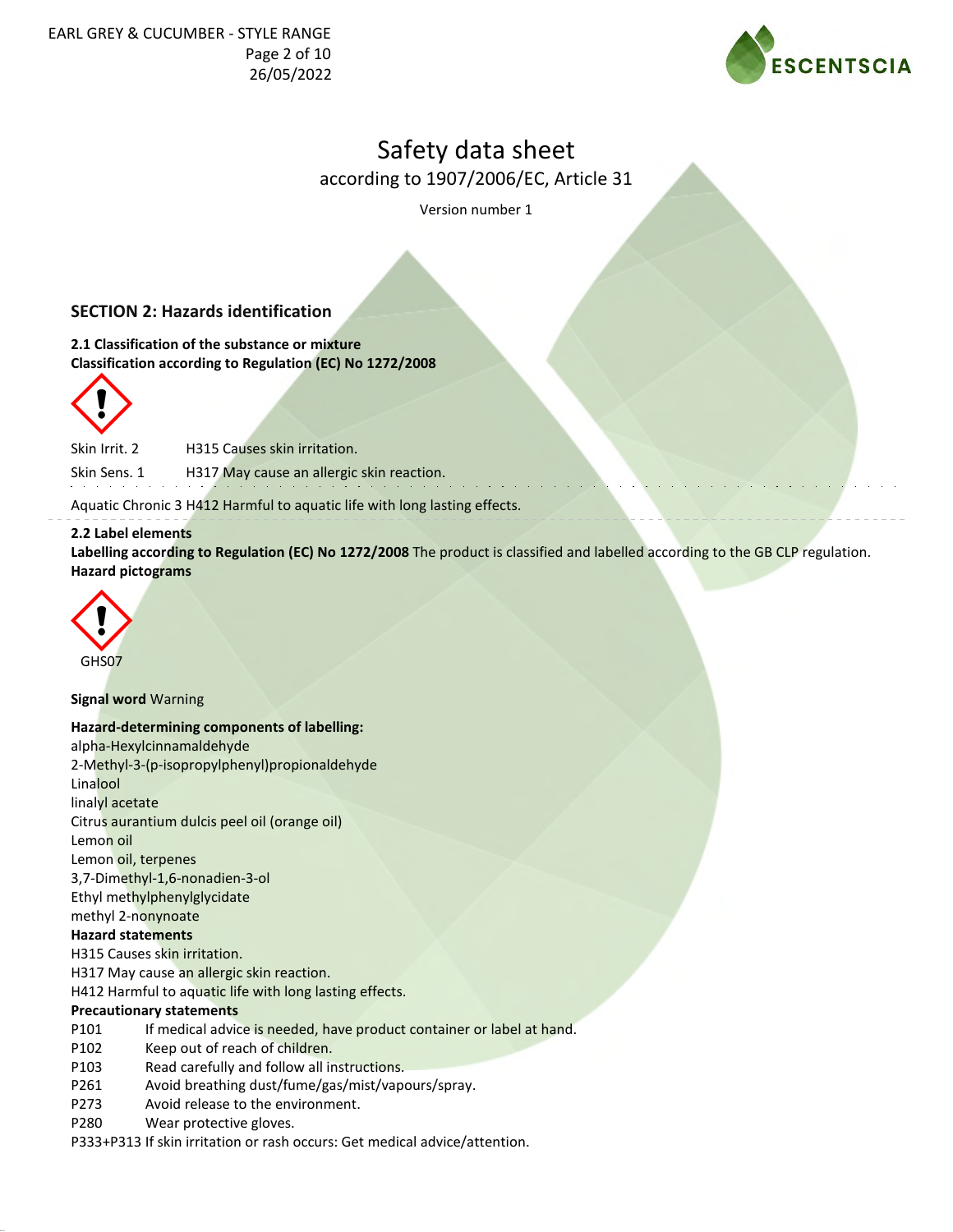

according to 1907/2006/EC, Article 31

Version number 1

# **SECTION 2: Hazards identification**

**2.1 Classification of the substance or mixture Classification according to Regulation (EC) No 1272/2008**



Skin Irrit. 2 H315 Causes skin irritation.

Skin Sens. 1 H317 May cause an allergic skin reaction.

Aquatic Chronic 3 H412 Harmful to aquatic life with long lasting effects.

#### **2.2 Label elements**

**Labelling according to Regulation (EC) No 1272/2008** The product is classified and labelled according to the GB CLP regulation. **Hazard pictograms**



#### **Signal word** Warning

#### **Hazard-determining components of labelling:**

alpha-Hexylcinnamaldehyde 2-Methyl-3-(p-isopropylphenyl)propionaldehyde Linalool linalyl acetate Citrus aurantium dulcis peel oil (orange oil) Lemon oil Lemon oil, terpenes 3,7-Dimethyl-1,6-nonadien-3-ol Ethyl methylphenylglycidate methyl 2-nonynoate **Hazard statements** H315 Causes skin irritation. H317 May cause an allergic skin reaction. H412 Harmful to aquatic life with long lasting effects. **Precautionary statements**

- P101 If medical advice is needed, have product container or label at hand.
- P102 Keep out of reach of children.
- P103 Read carefully and follow all instructions.
- P261 Avoid breathing dust/fume/gas/mist/vapours/spray.
- P273 Avoid release to the environment.
- P280 Wear protective gloves.

P333+P313 If skin irritation or rash occurs: Get medical advice/attention.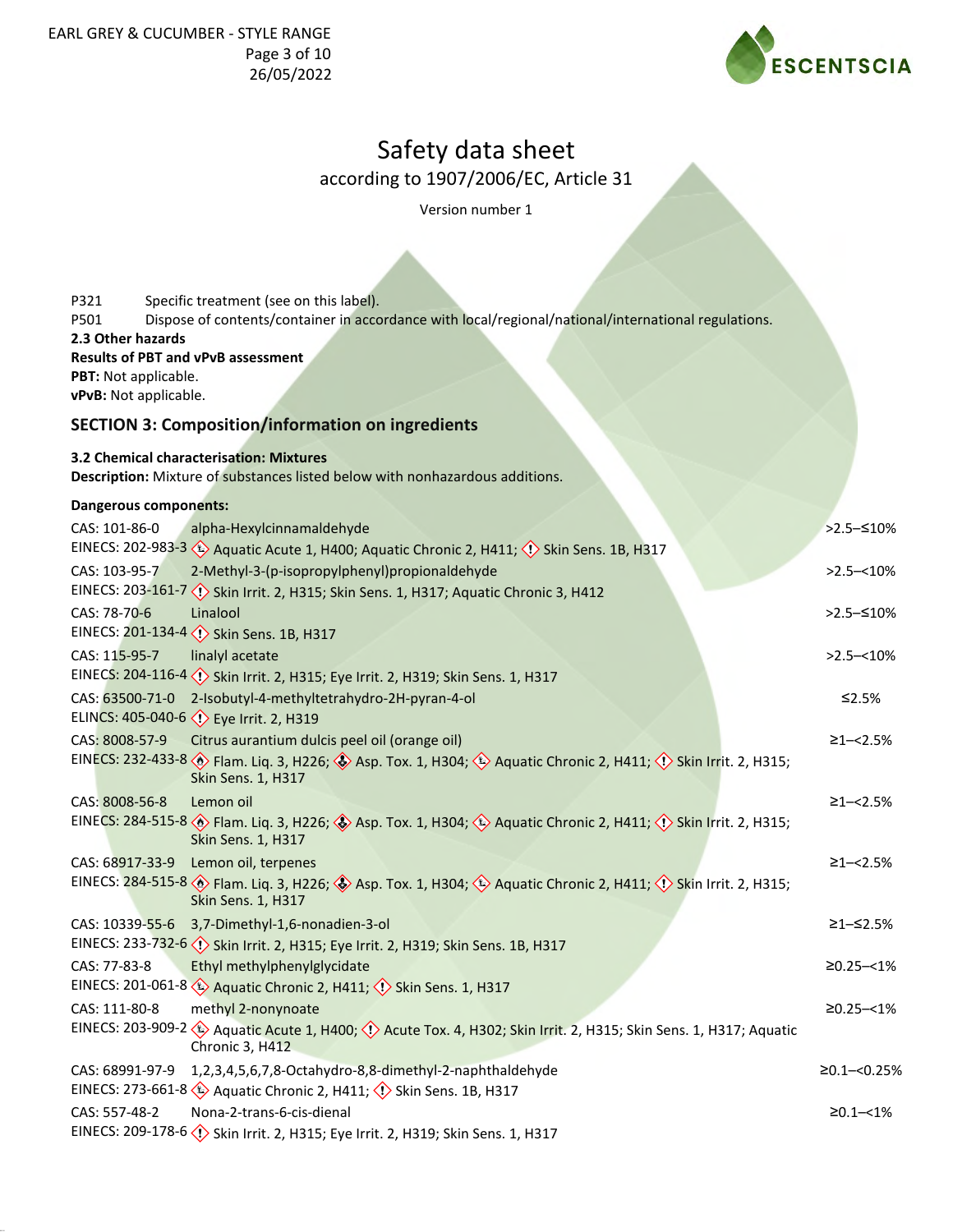

according to 1907/2006/EC, Article 31

Version number 1

| Specific treatment (see on this label).<br>P321                                                                                               |                  |
|-----------------------------------------------------------------------------------------------------------------------------------------------|------------------|
| Dispose of contents/container in accordance with local/regional/national/international regulations.<br>P501                                   |                  |
| 2.3 Other hazards                                                                                                                             |                  |
| <b>Results of PBT and vPvB assessment</b>                                                                                                     |                  |
| PBT: Not applicable.<br>vPvB: Not applicable.                                                                                                 |                  |
| <b>SECTION 3: Composition/information on ingredients</b>                                                                                      |                  |
| 3.2 Chemical characterisation: Mixtures                                                                                                       |                  |
| Description: Mixture of substances listed below with nonhazardous additions.                                                                  |                  |
| <b>Dangerous components:</b>                                                                                                                  |                  |
| alpha-Hexylcinnamaldehyde<br>CAS: 101-86-0                                                                                                    | $>2.5 - 510%$    |
| EINECS: 202-983-3 <>>Aquatic Acute 1, H400; Aquatic Chronic 2, H411; <>> >< Skin Sens. 1B, H317                                               |                  |
| 2-Methyl-3-(p-isopropylphenyl)propionaldehyde<br>CAS: 103-95-7                                                                                | $>2.5 - 10\%$    |
| EINECS: 203-161-7 << Skin Irrit. 2, H315; Skin Sens. 1, H317; Aquatic Chronic 3, H412                                                         |                  |
| Linalool<br>CAS: 78-70-6                                                                                                                      | >2.5 - ≤10%      |
| EINECS: 201-134-4 <>> <>> Skin Sens. 1B, H317                                                                                                 |                  |
| CAS: 115-95-7<br>linalyl acetate                                                                                                              | $>2.5 - 10\%$    |
|                                                                                                                                               |                  |
| 2-Isobutyl-4-methyltetrahydro-2H-pyran-4-ol<br>CAS: 63500-71-0                                                                                | $≤2.5%$          |
| ELINCS: 405-040-6 <>> Eye Irrit. 2, H319                                                                                                      |                  |
| CAS: 8008-57-9<br>Citrus aurantium dulcis peel oil (orange oil)                                                                               | $\geq$ 1-<2.5%   |
| EINECS: 232-433-8 > Flam. Liq. 3, H226; > Asp. Tox. 1, H304; > Aquatic Chronic 2, H411; < > Skin Irrit. 2, H315;<br><b>Skin Sens. 1, H317</b> |                  |
| CAS: 8008-56-8<br>Lemon oil                                                                                                                   | $\geq$ 1-<2.5%   |
| EINECS: 284-515-8 > Flam. Liq. 3, H226; > Asp. Tox. 1, H304; > Aquatic Chronic 2, H411; <> Skin Irrit. 2, H315;<br>Skin Sens. 1, H317         |                  |
| CAS: 68917-33-9 Lemon oil, terpenes                                                                                                           | $\geq$ 1-<2.5%   |
| EINECS: 284-515-8 > Flam. Liq. 3, H226; > Asp. Tox. 1, H304; > Aquatic Chronic 2, H411; <> Skin Irrit. 2, H315;<br>Skin Sens. 1, H317         |                  |
| CAS: 10339-55-6<br>3,7-Dimethyl-1,6-nonadien-3-ol                                                                                             | ≥1–≤2.5%         |
| EINECS: 233-732-6 < <a>(</a> Skin Irrit. 2, H315; Eye Irrit. 2, H319; Skin Sens. 1B, H317                                                     |                  |
| Ethyl methylphenylglycidate<br>CAS: 77-83-8                                                                                                   | $≥0.25 - <1%$    |
| EINECS: 201-061-8 (1) Aquatic Chronic 2, H411; (1) Skin Sens. 1, H317                                                                         |                  |
| methyl 2-nonynoate<br>CAS: 111-80-8                                                                                                           | $≥0.25 - < 1\%$  |
| EINECS: 203-909-2 (2) Aquatic Acute 1, H400; (1) Acute Tox. 4, H302; Skin Irrit. 2, H315; Skin Sens. 1, H317; Aquatic<br>Chronic 3, H412      |                  |
| 1,2,3,4,5,6,7,8-Octahydro-8,8-dimethyl-2-naphthaldehyde<br>CAS: 68991-97-9                                                                    | $≥0.1 - <0.25%$  |
| EINECS: 273-661-8 $\leftrightarrow$ Aquatic Chronic 2, H411; $\leftrightarrow$ Skin Sens. 1B, H317                                            |                  |
| Nona-2-trans-6-cis-dienal<br>CAS: 557-48-2                                                                                                    | $\geq 0.1 - 1\%$ |
|                                                                                                                                               |                  |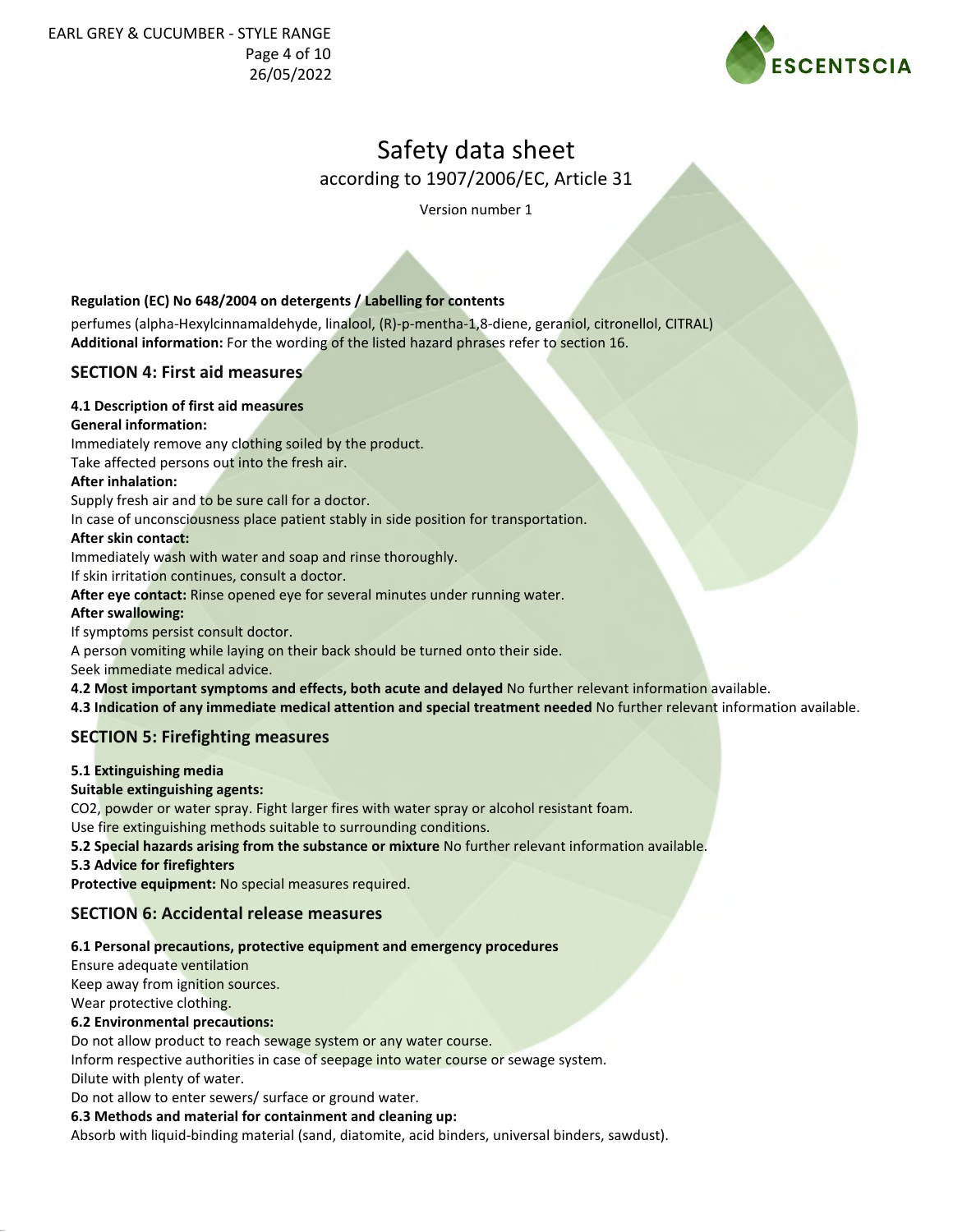

according to 1907/2006/EC, Article 31

Version number 1

### **Regulation (EC) No 648/2004 on detergents / Labelling for contents**

perfumes (alpha-Hexylcinnamaldehyde, linalool, (R)-p-mentha-1,8-diene, geraniol, citronellol, CITRAL) **Additional information:** For the wording of the listed hazard phrases refer to section 16.

### **SECTION 4: First aid measures**

#### **4.1 Description of first aid measures**

#### **General information:**

Immediately remove any clothing soiled by the product.

Take affected persons out into the fresh air.

#### **After inhalation:**

Supply fresh air and to be sure call for a doctor.

In case of unconsciousness place patient stably in side position for transportation.

#### **After skin contact:**

Immediately wash with water and soap and rinse thoroughly.

If skin irritation continues, consult a doctor.

**After eye contact:** Rinse opened eye for several minutes under running water.

#### **After swallowing:**

If symptoms persist consult doctor.

A person vomiting while laying on their back should be turned onto their side.

Seek immediate medical advice.

**4.2 Most important symptoms and effects, both acute and delayed** No further relevant information available.

**4.3 Indication of any immediate medical attention and special treatment needed** No further relevant information available.

### **SECTION 5: Firefighting measures**

### **5.1 Extinguishing media**

**Suitable extinguishing agents:**

CO2, powder or water spray. Fight larger fires with water spray or alcohol resistant foam.

Use fire extinguishing methods suitable to surrounding conditions.

**5.2 Special hazards arising from the substance or mixture** No further relevant information available.

**5.3 Advice for firefighters**

**Protective equipment:** No special measures required.

### **SECTION 6: Accidental release measures**

### **6.1 Personal precautions, protective equipment and emergency procedures**

Ensure adequate ventilation

Keep away from ignition sources.

Wear protective clothing.

#### **6.2 Environmental precautions:**

Do not allow product to reach sewage system or any water course.

Inform respective authorities in case of seepage into water course or sewage system.

Dilute with plenty of water.

Do not allow to enter sewers/ surface or ground water.

### **6.3 Methods and material for containment and cleaning up:**

Absorb with liquid-binding material (sand, diatomite, acid binders, universal binders, sawdust).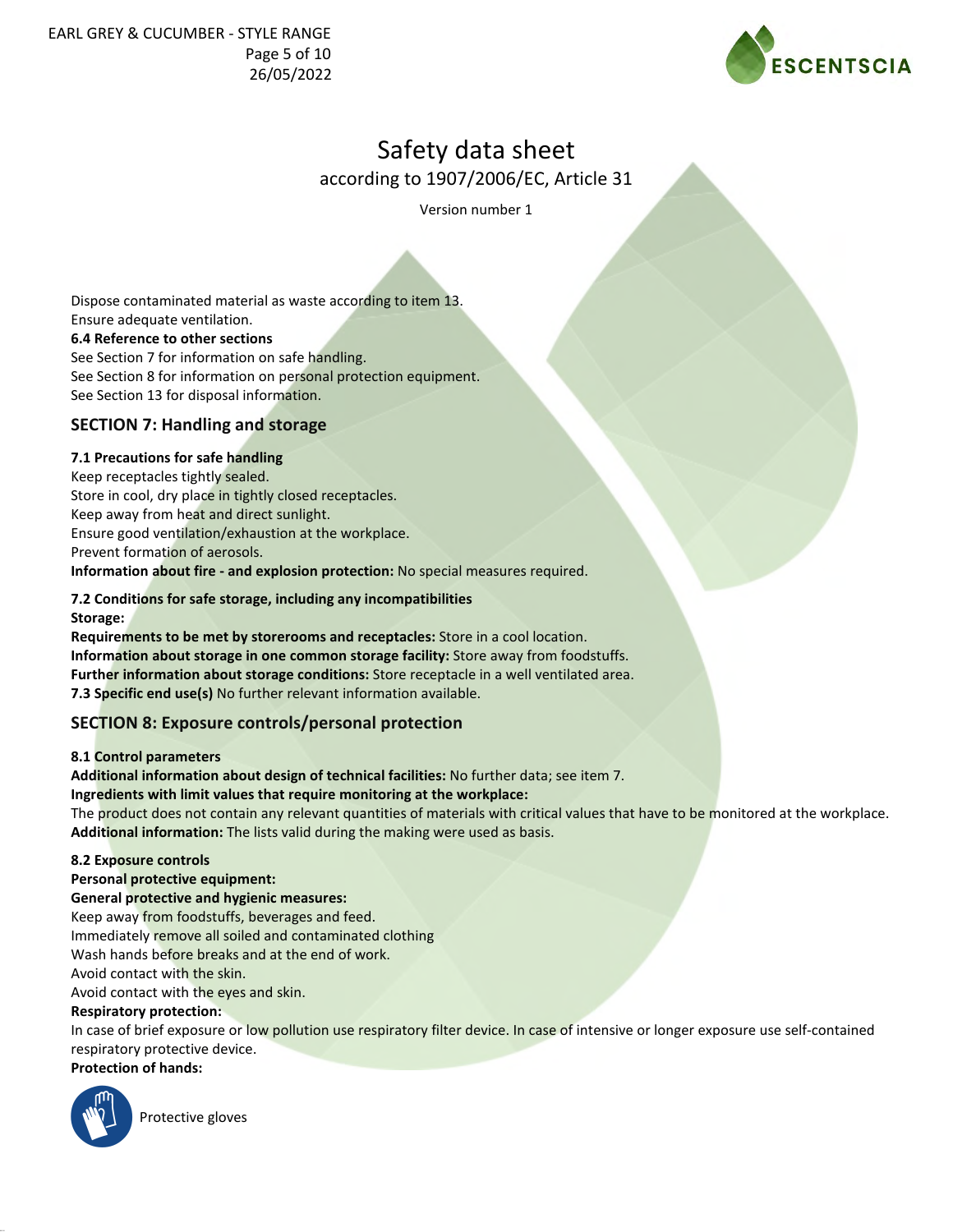EARL GREY & CUCUMBER - STYLE RANGE Page 5 of 10 26/05/2022



# Safety data sheet

according to 1907/2006/EC, Article 31

Version number 1

Dispose contaminated material as waste according to item 13. Ensure adequate ventilation. **6.4 Reference to other sections** See Section 7 for information on safe handling. See Section 8 for information on personal protection equipment. See Section 13 for disposal information. **SECTION 7: Handling and storage**

**7.1 Precautions for safe handling** Keep receptacles tightly sealed. Store in cool, dry place in tightly closed receptacles. Keep away from heat and direct sunlight. Ensure good ventilation/exhaustion at the workplace. Prevent formation of aerosols. **Information about fire - and explosion protection:** No special measures required.

#### **7.2 Conditions for safe storage, including any incompatibilities Storage:**

**Requirements to be met by storerooms and receptacles:** Store in a cool location. **Information about storage in one common storage facility:** Store away from foodstuffs. **Further information about storage conditions:** Store receptacle in a well ventilated area. **7.3 Specific end use(s)** No further relevant information available.

# **SECTION 8: Exposure controls/personal protection**

#### **8.1 Control parameters**

**Additional information about design of technical facilities:** No further data; see item 7.

#### **Ingredients with limit values that require monitoring at the workplace:**

The product does not contain any relevant quantities of materials with critical values that have to be monitored at the workplace. **Additional information:** The lists valid during the making were used as basis.

#### **8.2 Exposure controls**

#### **Personal protective equipment:**

**General protective and hygienic measures:**

Keep away from foodstuffs, beverages and feed.

Immediately remove all soiled and contaminated clothing

Wash hands before breaks and at the end of work.

Avoid contact with the skin.

Avoid contact with the eyes and skin.

### **Respiratory protection:**

In case of brief exposure or low pollution use respiratory filter device. In case of intensive or longer exposure use self-contained respiratory protective device.

**Protection of hands:**



Protective gloves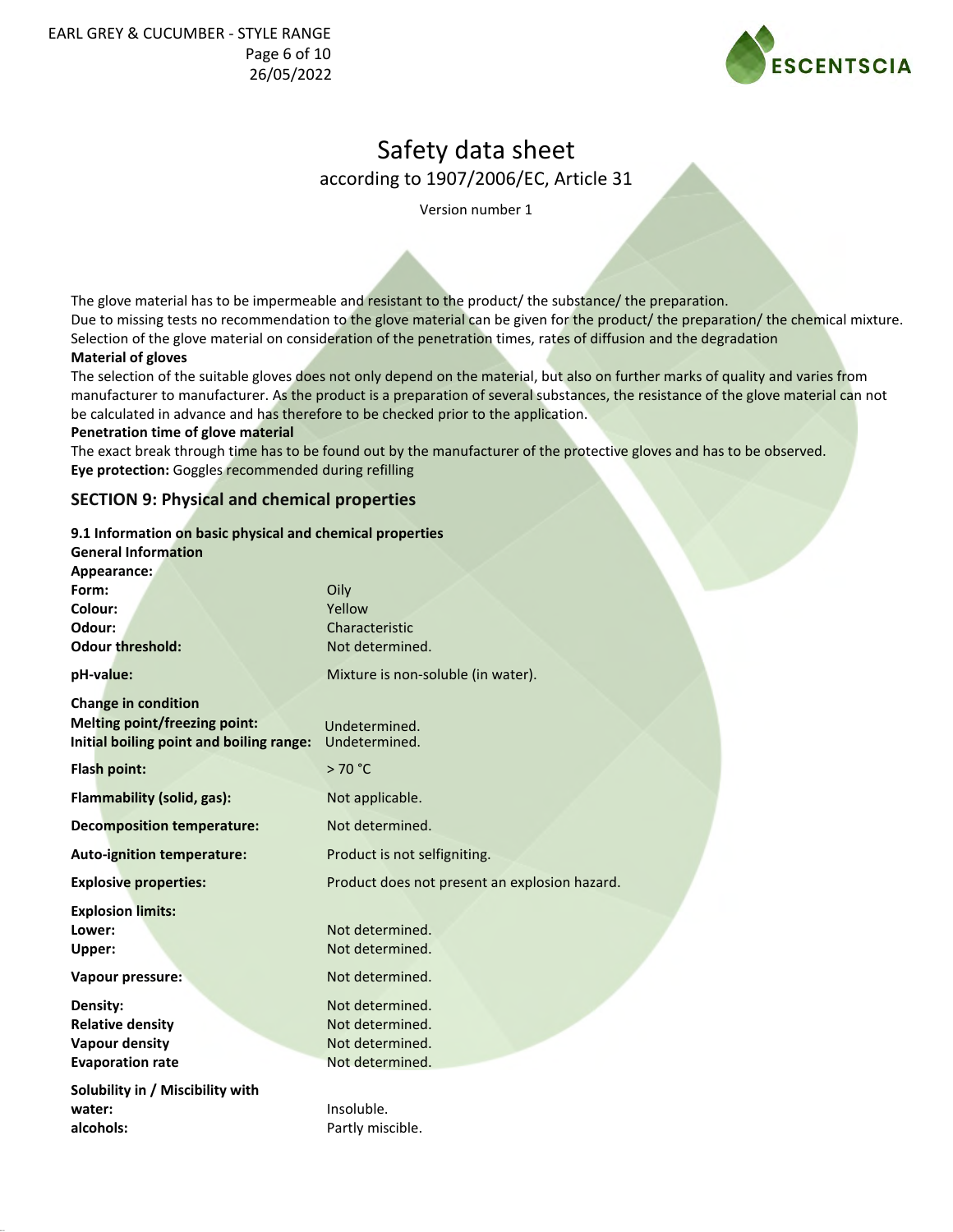

according to 1907/2006/EC, Article 31

Version number 1

The glove material has to be impermeable and resistant to the product/ the substance/ the preparation. Due to missing tests no recommendation to the glove material can be given for the product/ the preparation/ the chemical mixture.

Selection of the glove material on consideration of the penetration times, rates of diffusion and the degradation

#### **Material of gloves**

The selection of the suitable gloves does not only depend on the material, but also on further marks of quality and varies from manufacturer to manufacturer. As the product is a preparation of several substances, the resistance of the glove material can not be calculated in advance and has therefore to be checked prior to the application.

#### **Penetration time of glove material**

The exact break through time has to be found out by the manufacturer of the protective gloves and has to be observed. **Eye protection:** Goggles recommended during refilling

### **SECTION 9: Physical and chemical properties**

#### **9.1 Information on basic physical and chemical properties**

| <b>General Information</b>               |                                               |
|------------------------------------------|-----------------------------------------------|
| Appearance:                              |                                               |
| Form:                                    | Oily                                          |
| Colour:                                  | Yellow                                        |
| Odour:                                   | Characteristic                                |
| <b>Odour threshold:</b>                  | Not determined.                               |
| pH-value:                                | Mixture is non-soluble (in water).            |
| <b>Change in condition</b>               |                                               |
| Melting point/freezing point:            | Undetermined.                                 |
| Initial boiling point and boiling range: | Undetermined.                                 |
| Flash point:                             | >70 °C                                        |
| <b>Flammability (solid, gas):</b>        | Not applicable.                               |
| <b>Decomposition temperature:</b>        | Not determined.                               |
| <b>Auto-ignition temperature:</b>        | Product is not selfigniting.                  |
| <b>Explosive properties:</b>             | Product does not present an explosion hazard. |
| <b>Explosion limits:</b>                 |                                               |
| Lower:                                   | Not determined.                               |
| Upper:                                   | Not determined.                               |
| Vapour pressure:                         | Not determined.                               |
| Density:                                 | Not determined.                               |
| <b>Relative density</b>                  | Not determined.                               |
| <b>Vapour density</b>                    | Not determined.                               |
| <b>Evaporation rate</b>                  | Not determined.                               |
| Solubility in / Miscibility with         |                                               |
| water:                                   | Insoluble.                                    |
| alcohols:                                | Partly miscible.                              |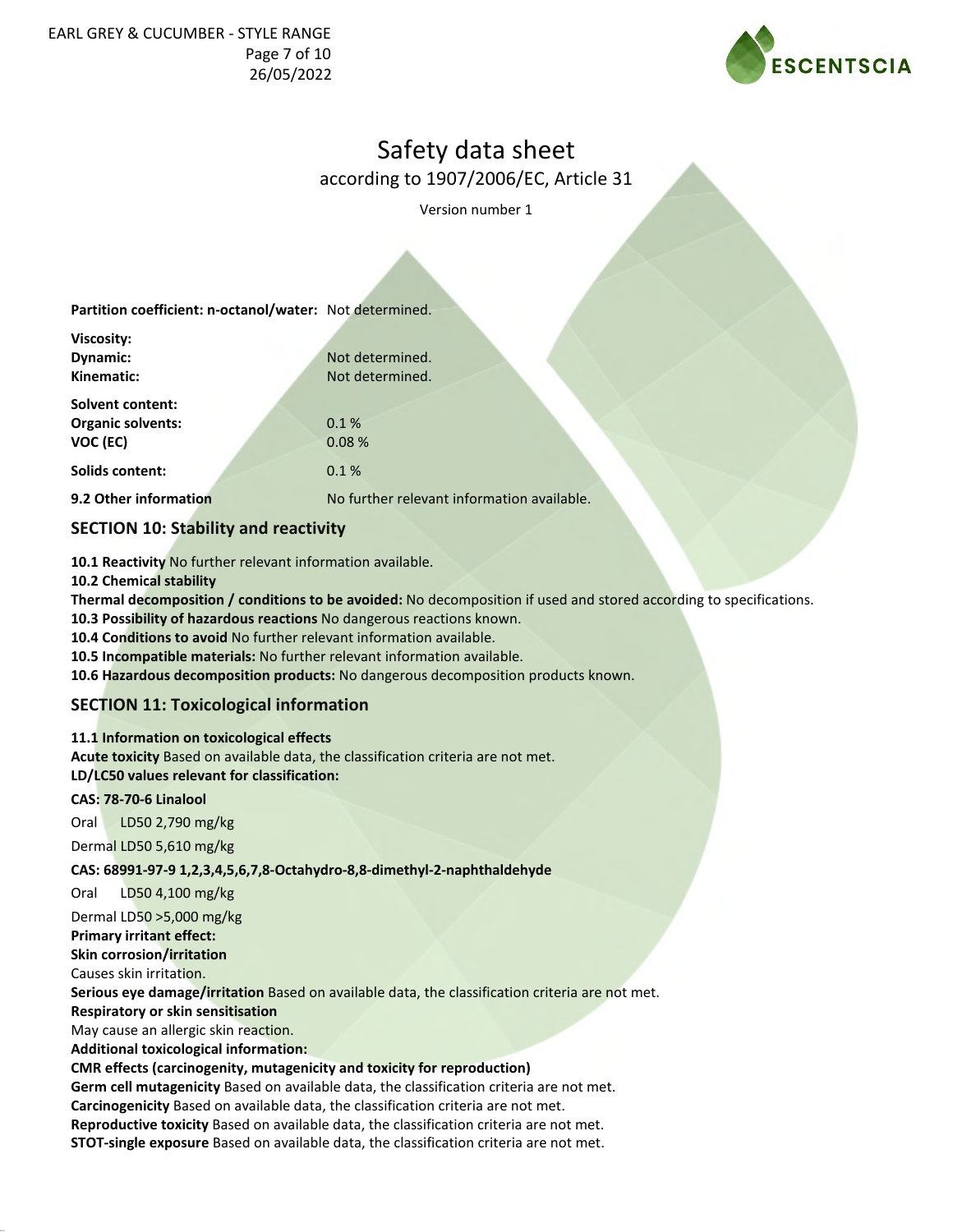

according to 1907/2006/EC, Article 31

Version number 1

| Partition coefficient: n-octanol/water: Not determined. |                                            |
|---------------------------------------------------------|--------------------------------------------|
| <b>Viscosity:</b>                                       |                                            |
| Dynamic:                                                | Not determined.                            |
| Kinematic:                                              | Not determined.                            |
| <b>Solvent content:</b>                                 |                                            |
| <b>Organic solvents:</b>                                | 0.1%                                       |
| VOC (EC)                                                | 0.08%                                      |
| <b>Solids content:</b>                                  | 0.1%                                       |
| 9.2 Other information                                   | No further relevant information available. |
| $C = C = 1$                                             |                                            |

### **SECTION 10: Stability and reactivity**

**10.1 Reactivity** No further relevant information available.

**10.2 Chemical stability**

**Thermal decomposition / conditions to be avoided:** No decomposition if used and stored according to specifications.

**10.3 Possibility of hazardous reactions** No dangerous reactions known.

**10.4 Conditions to avoid** No further relevant information available.

**10.5 Incompatible materials:** No further relevant information available.

**10.6 Hazardous decomposition products:** No dangerous decomposition products known.

### **SECTION 11: Toxicological information**

#### **11.1 Information on toxicological effects**

**Acute toxicity** Based on available data, the classification criteria are not met. **LD/LC50 values relevant for classification:**

### **CAS: 78-70-6 Linalool**

Oral LD50 2,790 mg/kg

Dermal LD50 5,610 mg/kg

**CAS: 68991-97-9 1,2,3,4,5,6,7,8-Octahydro-8,8-dimethyl-2-naphthaldehyde**

Oral LD50 4,100 mg/kg

Dermal LD50 >5,000 mg/kg

**Primary irritant effect:**

**Skin corrosion/irritation**

Causes skin irritation.

**Serious eye damage/irritation** Based on available data, the classification criteria are not met.

**Respiratory or skin sensitisation**

May cause an allergic skin reaction.

**Additional toxicological information:**

### **CMR effects (carcinogenity, mutagenicity and toxicity for reproduction)**

**Germ cell mutagenicity** Based on available data, the classification criteria are not met. **Carcinogenicity** Based on available data, the classification criteria are not met. **Reproductive toxicity** Based on available data, the classification criteria are not met.

**STOT-single exposure** Based on available data, the classification criteria are not met.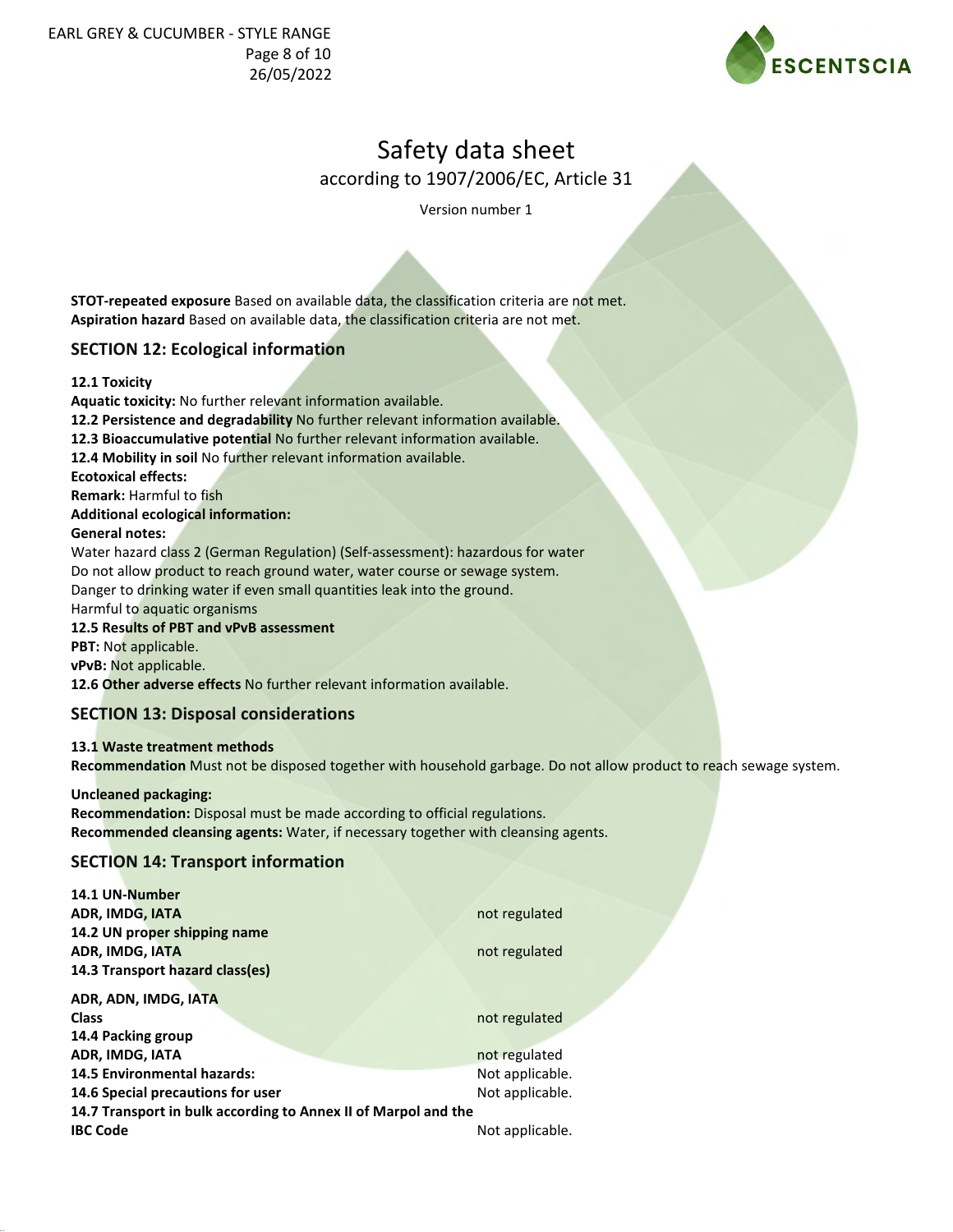

according to 1907/2006/EC, Article 31

Version number 1

**STOT-repeated exposure** Based on available data, the classification criteria are not met. **Aspiration hazard** Based on available data, the classification criteria are not met.

### **SECTION 12: Ecological information**

**12.1 Toxicity**

**Aquatic toxicity:** No further relevant information available. **12.2 Persistence and degradability** No further relevant information available. **12.3 Bioaccumulative potential** No further relevant information available. **12.4 Mobility in soil** No further relevant information available. **Ecotoxical effects: Remark:** Harmful to fish **Additional ecological information: General notes:** Water hazard class 2 (German Regulation) (Self-assessment): hazardous for water Do not allow product to reach ground water, water course or sewage system. Danger to drinking water if even small quantities leak into the ground. Harmful to aquatic organisms **12.5 Results of PBT and vPvB assessment PBT:** Not applicable.

**vPvB:** Not applicable.

**12.6 Other adverse effects** No further relevant information available.

#### **SECTION 13: Disposal considerations**

#### **13.1 Waste treatment methods**

**Recommendation** Must not be disposed together with household garbage. Do not allow product to reach sewage system.

#### **Uncleaned packaging:**

**Recommendation:** Disposal must be made according to official regulations. **Recommended cleansing agents:** Water, if necessary together with cleansing agents.

### **SECTION 14: Transport information**

| 14.1 UN-Number                                                 |                 |
|----------------------------------------------------------------|-----------------|
| <b>ADR, IMDG, IATA</b>                                         | not regulated   |
| 14.2 UN proper shipping name                                   |                 |
| ADR, IMDG, IATA                                                | not regulated   |
| 14.3 Transport hazard class(es)                                |                 |
| ADR, ADN, IMDG, IATA                                           |                 |
| <b>Class</b>                                                   | not regulated   |
| 14.4 Packing group                                             |                 |
| ADR, IMDG, IATA                                                | not regulated   |
| <b>14.5 Environmental hazards:</b>                             | Not applicable. |
| 14.6 Special precautions for user                              | Not applicable. |
| 14.7 Transport in bulk according to Annex II of Marpol and the |                 |
| <b>IBC Code</b>                                                | Not applicable. |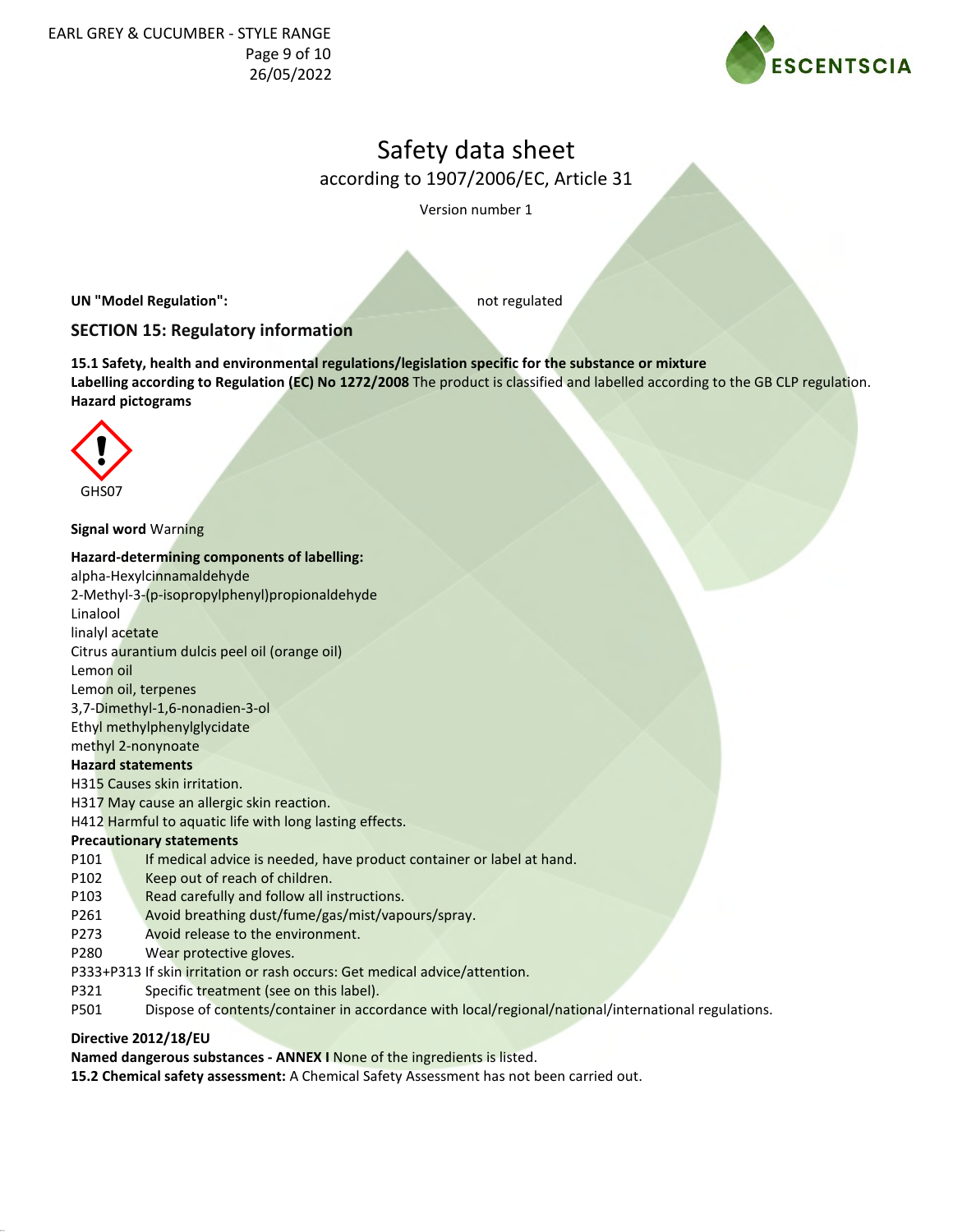

according to 1907/2006/EC, Article 31

Version number 1

**UN "Model Regulation":** not regulated

# **SECTION 15: Regulatory information**

**15.1 Safety, health and environmental regulations/legislation specific for the substance or mixture Labelling according to Regulation (EC) No 1272/2008** The product is classified and labelled according to the GB CLP regulation. **Hazard pictograms**



#### **Signal word** Warning

#### **Hazard-determining components of labelling:**

alpha-Hexylcinnamaldehyde

2-Methyl-3-(p-isopropylphenyl)propionaldehyde

Linalool

linalyl acetate Citrus aurantium dulcis peel oil (orange oil)

Lemon oil

Lemon oil, terpenes

3,7-Dimethyl-1,6-nonadien-3-ol

Ethyl methylphenylglycidate

# methyl 2-nonynoate

**Hazard statements**

H315 Causes skin irritation.

H317 May cause an allergic skin reaction.

H412 Harmful to aquatic life with long lasting effects.

### **Precautionary statements**

- P101 If medical advice is needed, have product container or label at hand.
- P102 Keep out of reach of children.
- P103 Read carefully and follow all instructions.
- P261 Avoid breathing dust/fume/gas/mist/vapours/spray.
- P273 Avoid release to the environment.
- P280 Wear protective gloves.
- P333+P313 If skin irritation or rash occurs: Get medical advice/attention.
- P321 Specific treatment (see on this label).
- P501 Dispose of contents/container in accordance with local/regional/national/international regulations.

### **Directive 2012/18/EU**

**Named dangerous substances - ANNEX I** None of the ingredients is listed.

**15.2 Chemical safety assessment:** A Chemical Safety Assessment has not been carried out.